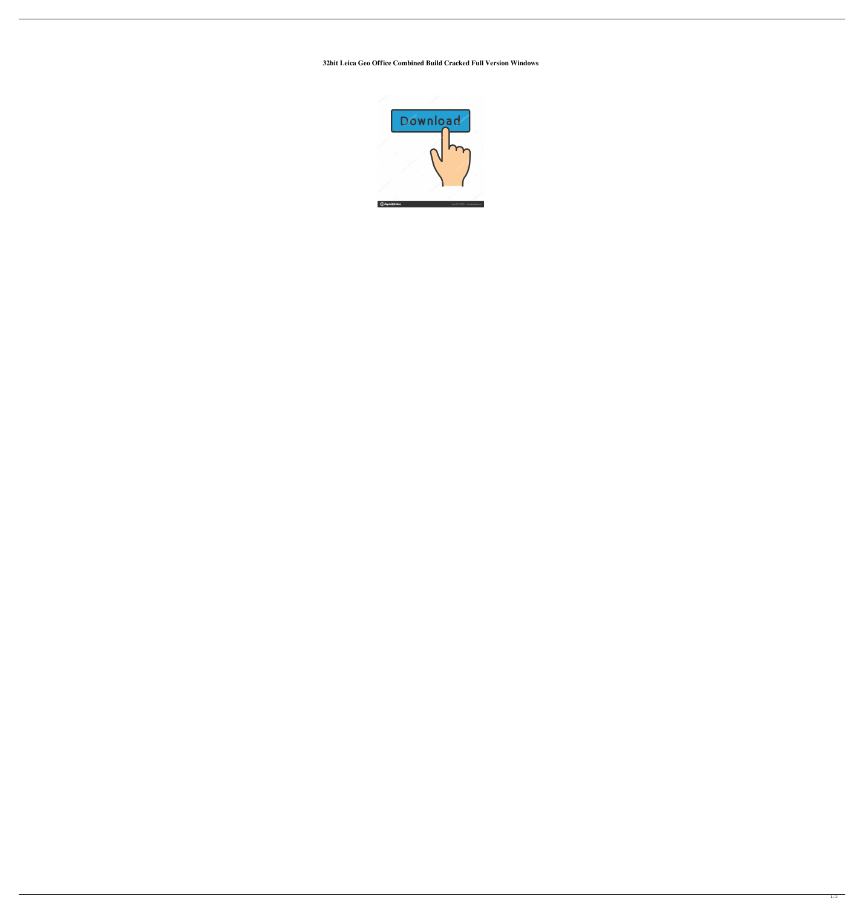**32bit Leica Geo Office Combined Build Cracked Full Version Windows**



 $\overline{1/2}$